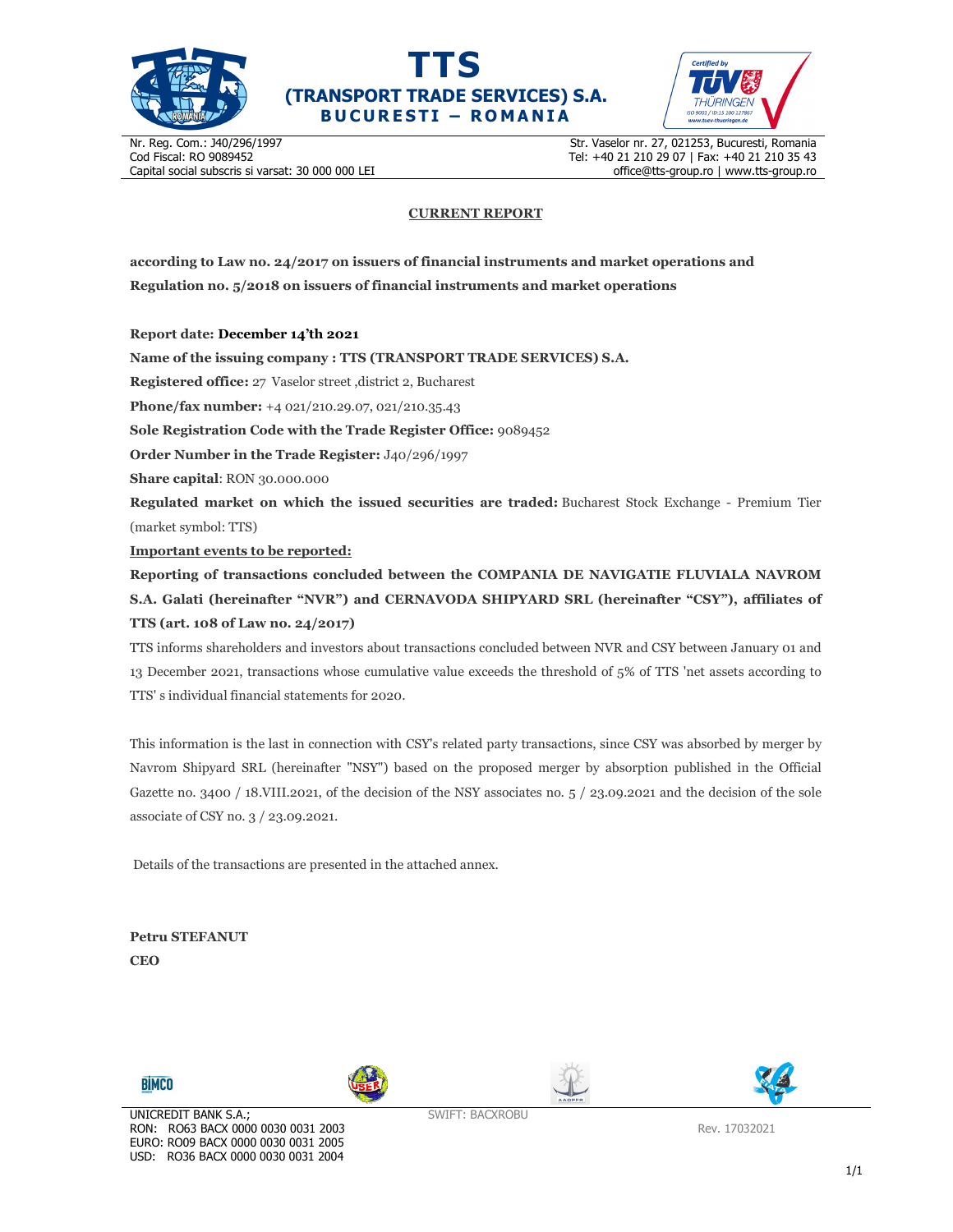





Nr. Reg. Com.: J40/296/1997 Cod Fiscal: RO 9089452 Capital social subscris si varsat: 30 000 000 LEI Str. Vaselor nr. 27, 021253, Bucuresti, Romania Tel: +40 21 210 29 07 | Fax: +40 21 210 35 43 office@tts-group.ro | www.tts-group.ro

## **CURRENT REPORT**

**according to Law no. 24/2017 on issuers of financial instruments and market operations and Regulation no. 5/2018 on issuers of financial instruments and market operations** 

**Report date: December 14'th 2021**

**Name of the issuing company : TTS (TRANSPORT TRADE SERVICES) S.A.**

**Registered office:** 27 Vaselor street ,district 2, Bucharest

**Phone/fax number:** +4 021/210.29.07, 021/210.35.43

**Sole Registration Code with the Trade Register Office:** 9089452

**Order Number in the Trade Register:** J40/296/1997

**Share capital**: RON 30.000.000

**Regulated market on which the issued securities are traded:** Bucharest Stock Exchange - Premium Tier (market symbol: TTS)

**Important events to be reported:**

**Reporting of transactions concluded between the COMPANIA DE NAVIGATIE FLUVIALA NAVROM S.A. Galati (hereinafter "NVR") and CERNAVODA SHIPYARD SRL (hereinafter "CSY"), affiliates of TTS (art. 108 of Law no. 24/2017)** 

TTS informs shareholders and investors about transactions concluded between NVR and CSY between January 01 and 13 December 2021, transactions whose cumulative value exceeds the threshold of 5% of TTS 'net assets according to TTS' s individual financial statements for 2020.

This information is the last in connection with CSY's related party transactions, since CSY was absorbed by merger by Navrom Shipyard SRL (hereinafter "NSY") based on the proposed merger by absorption published in the Official Gazette no. 3400 / 18.VIII.2021, of the decision of the NSY associates no.  $5/23.09.2021$  and the decision of the sole associate of CSY no. 3 / 23.09.2021.

Details of the transactions are presented in the attached annex.

**Petru STEFANUT CEO** 









SWIFT: BACXROBU

Rev. 17032021